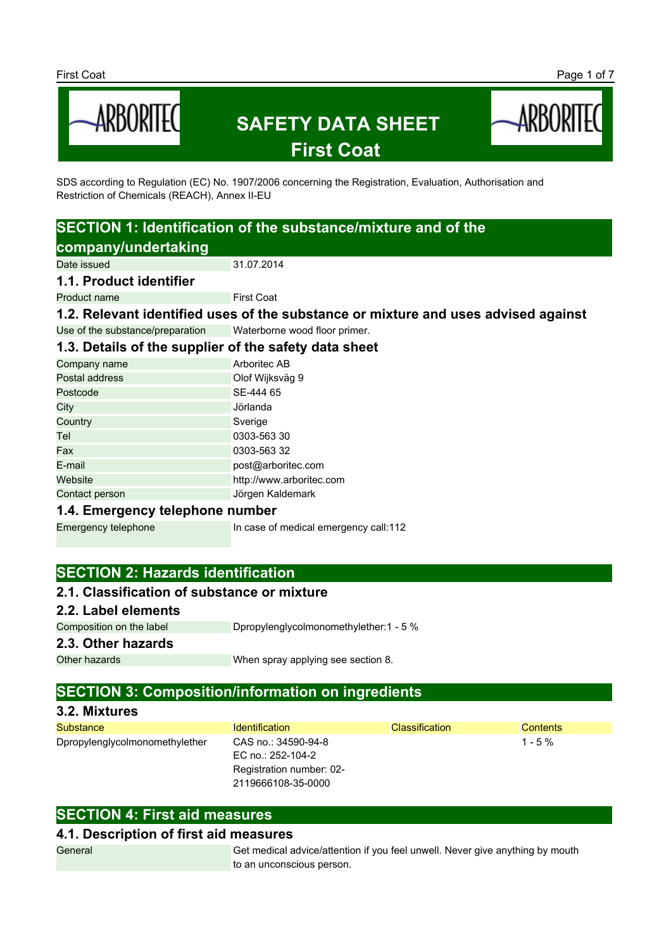

SDS according to Regulation (EC) No. 1907/2006 concerning the Registration, Evaluation, Authorisation and Restriction of Chemicals (REACH), Annex II-EU

# **SECTION 1: Identification of the substance/mixture and of the company/undertaking**

Date issued 31.07.2014

**1.1. Product identifier**

**Product name** First Coat

**1.2. Relevant identified uses of the substance or mixture and uses advised against** Use of the substance/preparation Waterborne wood floor primer.

**1.3. Details of the supplier of the safety data sheet**

| 1.3. Details of the supplier of the safety data sheet |                          |
|-------------------------------------------------------|--------------------------|
| Company name                                          | Arboritec AB             |
| Postal address                                        | Olof Wijksväg 9          |
| Postcode                                              | SE-444 65                |
| City                                                  | Jörlanda                 |
| Country                                               | Sverige                  |
| Tel                                                   | 0303-563 30              |
| Fax                                                   | 0303-563 32              |
| E-mail                                                | post@arboritec.com       |
| Website                                               | http://www.arboritec.com |

Contact person **Jörgen Kaldemark** 

#### **1.4. Emergency telephone number**

Emergency telephone In case of medical emergency call:112

## **SECTION 2: Hazards identification**

## **2.1. Classification of substance or mixture**

**2.2. Label elements**

Composition on the label Dpropylenglycolmonomethylether:1 - 5 %

#### **2.3. Other hazards**

Other hazards **When spray applying see section 8.** 

## **SECTION 3: Composition/information on ingredients**

| 3.2. Mixtures                  |                                          |                       |                 |
|--------------------------------|------------------------------------------|-----------------------|-----------------|
| <b>Substance</b>               | <b>Identification</b>                    | <b>Classification</b> | <b>Contents</b> |
| Dpropylenglycolmonomethylether | CAS no.: 34590-94-8<br>EC no.: 252-104-2 |                       | $1 - 5 \%$      |
|                                | Registration number: 02-                 |                       |                 |
|                                | 2119666108-35-0000                       |                       |                 |

## **SECTION 4: First aid measures**

#### **4.1. Description of first aid measures**

General Get medical advice/attention if you feel unwell. Never give anything by mouth to an unconscious person.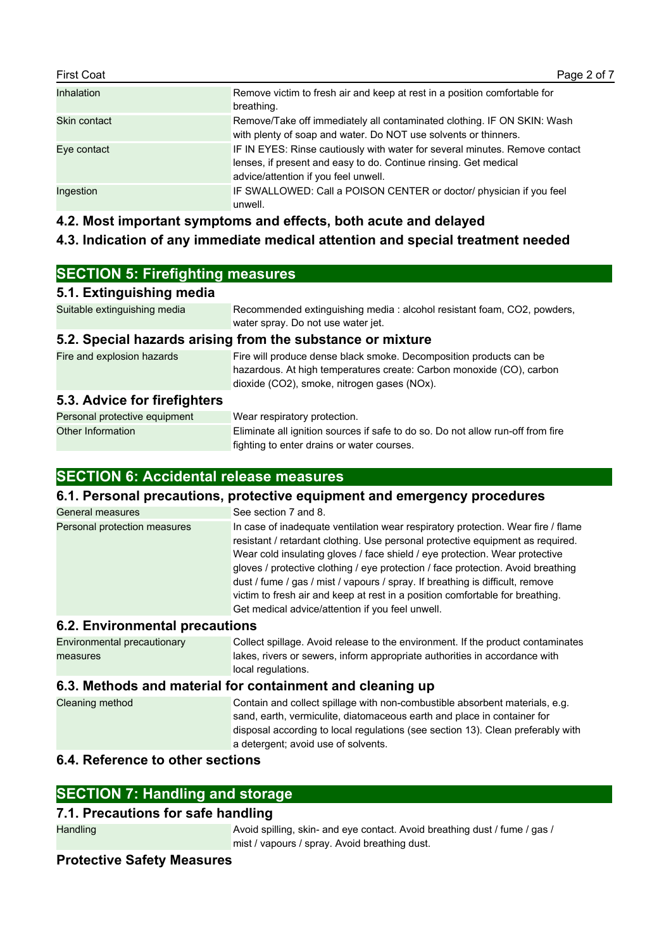| <b>First Coat</b> | Page 2 of 7                                                                                                                                                                             |
|-------------------|-----------------------------------------------------------------------------------------------------------------------------------------------------------------------------------------|
| <b>Inhalation</b> | Remove victim to fresh air and keep at rest in a position comfortable for<br>breathing.                                                                                                 |
| Skin contact      | Remove/Take off immediately all contaminated clothing. IF ON SKIN: Wash<br>with plenty of soap and water. Do NOT use solvents or thinners.                                              |
| Eve contact       | IF IN EYES: Rinse cautiously with water for several minutes. Remove contact<br>lenses, if present and easy to do. Continue rinsing. Get medical<br>advice/attention if you feel unwell. |
| Ingestion         | IF SWALLOWED: Call a POISON CENTER or doctor/ physician if you feel<br>unwell.                                                                                                          |

## **4.2. Most important symptoms and effects, both acute and delayed**

## **4.3. Indication of any immediate medical attention and special treatment needed**

| <b>SECTION 5: Firefighting measures</b>                    |                                                                                                                                                                                           |  |
|------------------------------------------------------------|-------------------------------------------------------------------------------------------------------------------------------------------------------------------------------------------|--|
| 5.1. Extinguishing media                                   |                                                                                                                                                                                           |  |
| Suitable extinguishing media                               | Recommended extinguishing media: alcohol resistant foam, CO2, powders,<br>water spray. Do not use water jet.                                                                              |  |
| 5.2. Special hazards arising from the substance or mixture |                                                                                                                                                                                           |  |
| Fire and explosion hazards                                 | Fire will produce dense black smoke. Decomposition products can be<br>hazardous. At high temperatures create: Carbon monoxide (CO), carbon<br>dioxide (CO2), smoke, nitrogen gases (NOx). |  |
| 5.3. Advice for firefighters                               |                                                                                                                                                                                           |  |
| Personal protective equipment                              | Wear respiratory protection.                                                                                                                                                              |  |
| Other Information                                          | Eliminate all ignition sources if safe to do so. Do not allow run-off from fire                                                                                                           |  |

fighting to enter drains or water courses.

## **SECTION 6: Accidental release measures**

#### **6.1. Personal precautions, protective equipment and emergency procedures**

| General measures                     | See section 7 and 8.                                                                                                                                                                                                                                                                                                                                                                                                                                                                                                                                        |
|--------------------------------------|-------------------------------------------------------------------------------------------------------------------------------------------------------------------------------------------------------------------------------------------------------------------------------------------------------------------------------------------------------------------------------------------------------------------------------------------------------------------------------------------------------------------------------------------------------------|
| Personal protection measures         | In case of inadequate ventilation wear respiratory protection. Wear fire / flame<br>resistant / retardant clothing. Use personal protective equipment as required.<br>Wear cold insulating gloves / face shield / eye protection. Wear protective<br>gloves / protective clothing / eye protection / face protection. Avoid breathing<br>dust / fume / gas / mist / vapours / spray. If breathing is difficult, remove<br>victim to fresh air and keep at rest in a position comfortable for breathing.<br>Get medical advice/attention if you feel unwell. |
| <b>C.3</b> Environmental presentiano |                                                                                                                                                                                                                                                                                                                                                                                                                                                                                                                                                             |

#### **6.2. Environmental precautions**

Environmental precautionary measures Collect spillage. Avoid release to the environment. If the product contaminates lakes, rivers or sewers, inform appropriate authorities in accordance with local regulations.

## **6.3. Methods and material for containment and cleaning up**

```
Cleaning method Contain and collect spillage with non-combustible absorbent materials, e.g. 
                         sand, earth, vermiculite, diatomaceous earth and place in container for 
                         disposal according to local regulations (see section 13). Clean preferably with 
                         a detergent; avoid use of solvents.
```
## **6.4. Reference to other sections**

#### **7.1. Precautions for safe handling**

Handling **Avoid spilling, skin- and eye contact. Avoid breathing dust / fume / gas /** and **avoid spilling**, skin- and eye contact. Avoid breathing dust / fume / gas / mist / vapours / spray. Avoid breathing dust.

## **Protective Safety Measures**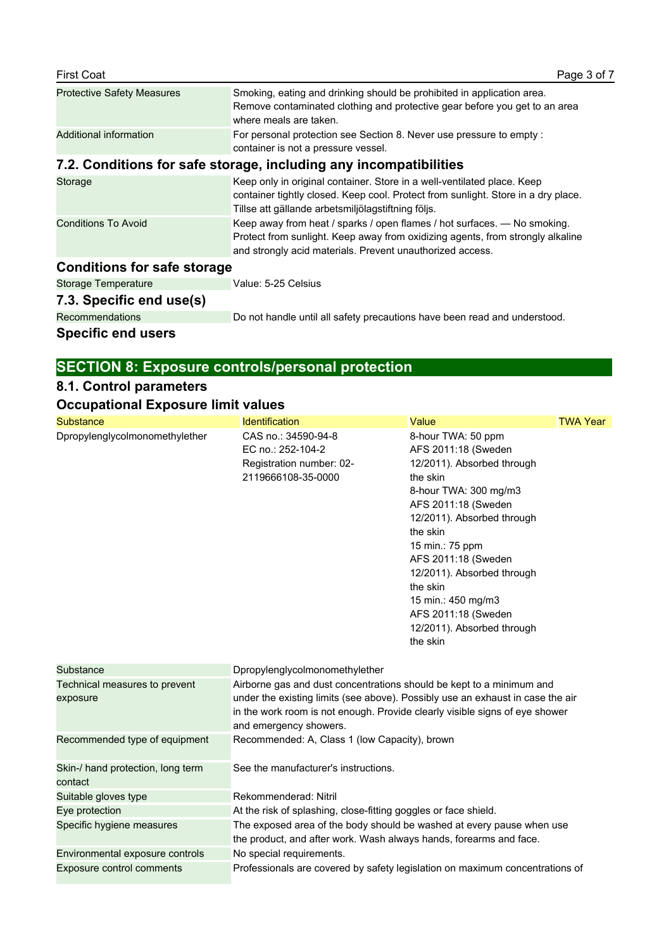| <b>First Coat</b>                  | Page 3 of 7                                                                                                                                                                                                             |
|------------------------------------|-------------------------------------------------------------------------------------------------------------------------------------------------------------------------------------------------------------------------|
| <b>Protective Safety Measures</b>  | Smoking, eating and drinking should be prohibited in application area.<br>Remove contaminated clothing and protective gear before you get to an area<br>where meals are taken.                                          |
| Additional information             | For personal protection see Section 8. Never use pressure to empty :<br>container is not a pressure vessel.                                                                                                             |
|                                    | 7.2. Conditions for safe storage, including any incompatibilities                                                                                                                                                       |
| Storage                            | Keep only in original container. Store in a well-ventilated place. Keep<br>container tightly closed. Keep cool. Protect from sunlight. Store in a dry place.<br>Tillse att gällande arbetsmiljölagstiftning följs.      |
| <b>Conditions To Avoid</b>         | Keep away from heat / sparks / open flames / hot surfaces. - No smoking.<br>Protect from sunlight. Keep away from oxidizing agents, from strongly alkaline<br>and strongly acid materials. Prevent unauthorized access. |
| <b>Conditions for safe storage</b> |                                                                                                                                                                                                                         |
| <b>Storage Temperature</b>         | Value: 5-25 Celsius                                                                                                                                                                                                     |
| 7.3. Specific end use(s)           |                                                                                                                                                                                                                         |

Recommendations Do not handle until all safety precautions have been read and understood.

## **Specific end users**

# **SECTION 8: Exposure controls/personal protection**

# **8.1. Control parameters**

# **Occupational Exposure limit values**

| <b>Substance</b>                             | <b>Identification</b>                                                                                                                                                                                                                                           | Value                                                                                                                                                                                                                                                                                                                                                    | <b>TWA Year</b> |
|----------------------------------------------|-----------------------------------------------------------------------------------------------------------------------------------------------------------------------------------------------------------------------------------------------------------------|----------------------------------------------------------------------------------------------------------------------------------------------------------------------------------------------------------------------------------------------------------------------------------------------------------------------------------------------------------|-----------------|
| Dpropylenglycolmonomethylether               | CAS no.: 34590-94-8<br>EC no.: 252-104-2<br>Registration number: 02-<br>2119666108-35-0000                                                                                                                                                                      | 8-hour TWA: 50 ppm<br>AFS 2011:18 (Sweden<br>12/2011). Absorbed through<br>the skin<br>8-hour TWA: 300 mg/m3<br>AFS 2011:18 (Sweden<br>12/2011). Absorbed through<br>the skin<br>15 min.: 75 ppm<br>AFS 2011:18 (Sweden<br>12/2011). Absorbed through<br>the skin<br>15 min.: 450 mg/m3<br>AFS 2011:18 (Sweden<br>12/2011). Absorbed through<br>the skin |                 |
| Substance                                    | Dpropylenglycolmonomethylether                                                                                                                                                                                                                                  |                                                                                                                                                                                                                                                                                                                                                          |                 |
| Technical measures to prevent<br>exposure    | Airborne gas and dust concentrations should be kept to a minimum and<br>under the existing limits (see above). Possibly use an exhaust in case the air<br>in the work room is not enough. Provide clearly visible signs of eye shower<br>and emergency showers. |                                                                                                                                                                                                                                                                                                                                                          |                 |
| Recommended type of equipment                | Recommended: A, Class 1 (low Capacity), brown                                                                                                                                                                                                                   |                                                                                                                                                                                                                                                                                                                                                          |                 |
| Skin-/ hand protection, long term<br>contact | See the manufacturer's instructions.                                                                                                                                                                                                                            |                                                                                                                                                                                                                                                                                                                                                          |                 |
| Suitable gloves type                         | Rekommenderad: Nitril                                                                                                                                                                                                                                           |                                                                                                                                                                                                                                                                                                                                                          |                 |
| Eye protection                               | At the risk of splashing, close-fitting goggles or face shield.                                                                                                                                                                                                 |                                                                                                                                                                                                                                                                                                                                                          |                 |
| Specific hygiene measures                    | The exposed area of the body should be washed at every pause when use<br>the product, and after work. Wash always hands, forearms and face.                                                                                                                     |                                                                                                                                                                                                                                                                                                                                                          |                 |
| Environmental exposure controls              | No special requirements.                                                                                                                                                                                                                                        |                                                                                                                                                                                                                                                                                                                                                          |                 |
| Exposure control comments                    | Professionals are covered by safety legislation on maximum concentrations of                                                                                                                                                                                    |                                                                                                                                                                                                                                                                                                                                                          |                 |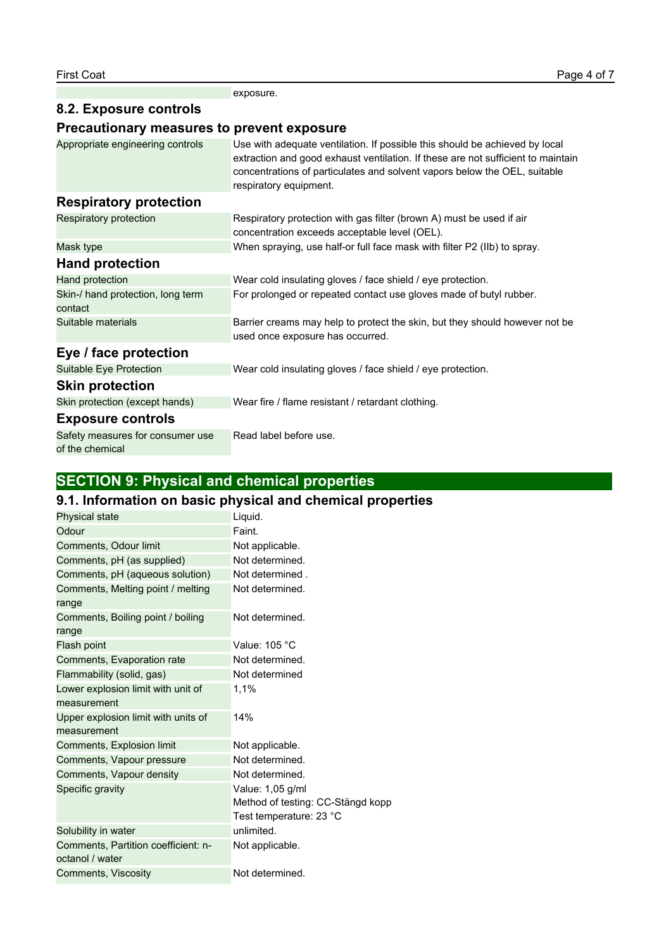exposure.

## **8.2. Exposure controls**

## **Precautionary measures to prevent exposure**

| Appropriate engineering controls                    | Use with adequate ventilation. If possible this should be achieved by local<br>extraction and good exhaust ventilation. If these are not sufficient to maintain<br>concentrations of particulates and solvent vapors below the OEL, suitable<br>respiratory equipment. |
|-----------------------------------------------------|------------------------------------------------------------------------------------------------------------------------------------------------------------------------------------------------------------------------------------------------------------------------|
| <b>Respiratory protection</b>                       |                                                                                                                                                                                                                                                                        |
| Respiratory protection                              | Respiratory protection with gas filter (brown A) must be used if air<br>concentration exceeds acceptable level (OEL).                                                                                                                                                  |
| Mask type                                           | When spraying, use half-or full face mask with filter P2 (IIb) to spray.                                                                                                                                                                                               |
| <b>Hand protection</b>                              |                                                                                                                                                                                                                                                                        |
| Hand protection                                     | Wear cold insulating gloves / face shield / eye protection.                                                                                                                                                                                                            |
| Skin-/ hand protection, long term<br>contact        | For prolonged or repeated contact use gloves made of butyl rubber.                                                                                                                                                                                                     |
| Suitable materials                                  | Barrier creams may help to protect the skin, but they should however not be<br>used once exposure has occurred.                                                                                                                                                        |
| Eye / face protection                               |                                                                                                                                                                                                                                                                        |
| Suitable Eye Protection                             | Wear cold insulating gloves / face shield / eye protection.                                                                                                                                                                                                            |
| <b>Skin protection</b>                              |                                                                                                                                                                                                                                                                        |
| Skin protection (except hands)                      | Wear fire / flame resistant / retardant clothing.                                                                                                                                                                                                                      |
| <b>Exposure controls</b>                            |                                                                                                                                                                                                                                                                        |
| Safety measures for consumer use<br>of the chemical | Read label before use.                                                                                                                                                                                                                                                 |

# **SECTION 9: Physical and chemical properties**

# **9.1. Information on basic physical and chemical properties**

| Physical state                      | Liquid.                           |
|-------------------------------------|-----------------------------------|
| Odour                               | Faint.                            |
| Comments, Odour limit               | Not applicable.                   |
| Comments, pH (as supplied)          | Not determined.                   |
| Comments, pH (aqueous solution)     | Not determined.                   |
| Comments, Melting point / melting   | Not determined.                   |
| range                               |                                   |
| Comments, Boiling point / boiling   | Not determined.                   |
| range                               |                                   |
| Flash point                         | Value: 105 °C                     |
| Comments, Evaporation rate          | Not determined.                   |
| Flammability (solid, gas)           | Not determined                    |
| Lower explosion limit with unit of  | 1,1%                              |
| measurement                         |                                   |
| Upper explosion limit with units of | 14%                               |
| measurement                         |                                   |
| Comments, Explosion limit           | Not applicable.                   |
| Comments, Vapour pressure           | Not determined.                   |
| Comments, Vapour density            | Not determined.                   |
| Specific gravity                    | Value: 1,05 g/ml                  |
|                                     | Method of testing: CC-Stängd kopp |
|                                     | Test temperature: 23 °C           |
| Solubility in water                 | unlimited.                        |
| Comments, Partition coefficient: n- | Not applicable.                   |
| octanol / water                     |                                   |
| Comments, Viscosity                 | Not determined.                   |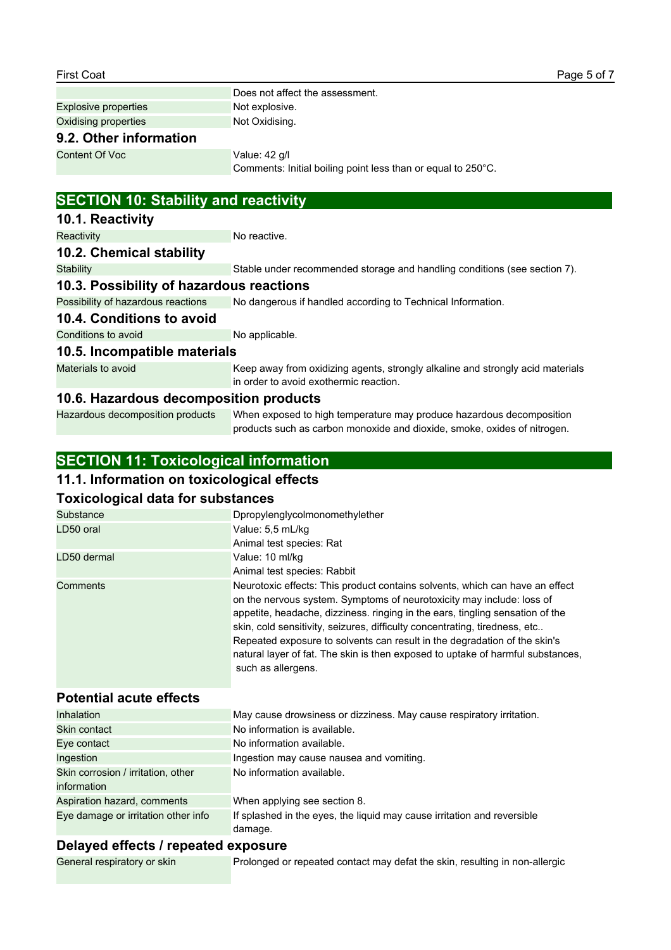|                                             | Does not affect the assessment.                                                                                          |
|---------------------------------------------|--------------------------------------------------------------------------------------------------------------------------|
| <b>Explosive properties</b>                 | Not explosive.                                                                                                           |
| Oxidising properties                        | Not Oxidising.                                                                                                           |
| 9.2. Other information                      |                                                                                                                          |
| <b>Content Of Voc</b>                       | Value: 42 g/l                                                                                                            |
|                                             | Comments: Initial boiling point less than or equal to 250°C.                                                             |
| <b>SECTION 10: Stability and reactivity</b> |                                                                                                                          |
| 10.1. Reactivity                            |                                                                                                                          |
| Reactivity                                  | No reactive.                                                                                                             |
| 10.2. Chemical stability                    |                                                                                                                          |
| <b>Stability</b>                            | Stable under recommended storage and handling conditions (see section 7).                                                |
| 10.3. Possibility of hazardous reactions    |                                                                                                                          |
| Possibility of hazardous reactions          | No dangerous if handled according to Technical Information.                                                              |
| 10.4. Conditions to avoid                   |                                                                                                                          |
| Conditions to avoid                         | No applicable.                                                                                                           |
| 10.5. Incompatible materials                |                                                                                                                          |
| Materials to avoid                          | Keep away from oxidizing agents, strongly alkaline and strongly acid materials<br>in order to avoid exothermic reaction. |
| 10.6. Hazardous decomposition products      |                                                                                                                          |
| Hazardous decomposition products            | When exposed to high temperature may produce hazardous decomposition                                                     |

products such as carbon monoxide and dioxide, smoke, oxides of nitrogen.

# **SECTION 11: Toxicological information**

# **11.1. Information on toxicological effects**

## **Toxicological data for substances**

| Substance<br>LD50 oral | Dpropylenglycolmonomethylether<br>Value: 5,5 mL/kg                                                                                                                                                                                                                                                                                                                                                                                                                                                         |
|------------------------|------------------------------------------------------------------------------------------------------------------------------------------------------------------------------------------------------------------------------------------------------------------------------------------------------------------------------------------------------------------------------------------------------------------------------------------------------------------------------------------------------------|
|                        | Animal test species: Rat                                                                                                                                                                                                                                                                                                                                                                                                                                                                                   |
| LD50 dermal            | Value: 10 ml/kg                                                                                                                                                                                                                                                                                                                                                                                                                                                                                            |
|                        | Animal test species: Rabbit                                                                                                                                                                                                                                                                                                                                                                                                                                                                                |
| Comments               | Neurotoxic effects: This product contains solvents, which can have an effect<br>on the nervous system. Symptoms of neurotoxicity may include: loss of<br>appetite, headache, dizziness. ringing in the ears, tingling sensation of the<br>skin, cold sensitivity, seizures, difficulty concentrating, tiredness, etc<br>Repeated exposure to solvents can result in the degradation of the skin's<br>natural layer of fat. The skin is then exposed to uptake of harmful substances,<br>such as allergens. |

## **Potential acute effects**

| <b>Inhalation</b>                   | May cause drowsiness or dizziness. May cause respiratory irritation.    |
|-------------------------------------|-------------------------------------------------------------------------|
| Skin contact                        | No information is available.                                            |
| Eve contact                         | No information available.                                               |
| Ingestion                           | Ingestion may cause nausea and vomiting.                                |
| Skin corrosion / irritation, other  | No information available.                                               |
| information                         |                                                                         |
| Aspiration hazard, comments         | When applying see section 8.                                            |
| Eye damage or irritation other info | If splashed in the eyes, the liquid may cause irritation and reversible |
|                                     | damage.                                                                 |

## **Delayed effects / repeated exposure**

General respiratory or skin Prolonged or repeated contact may defat the skin, resulting in non-allergic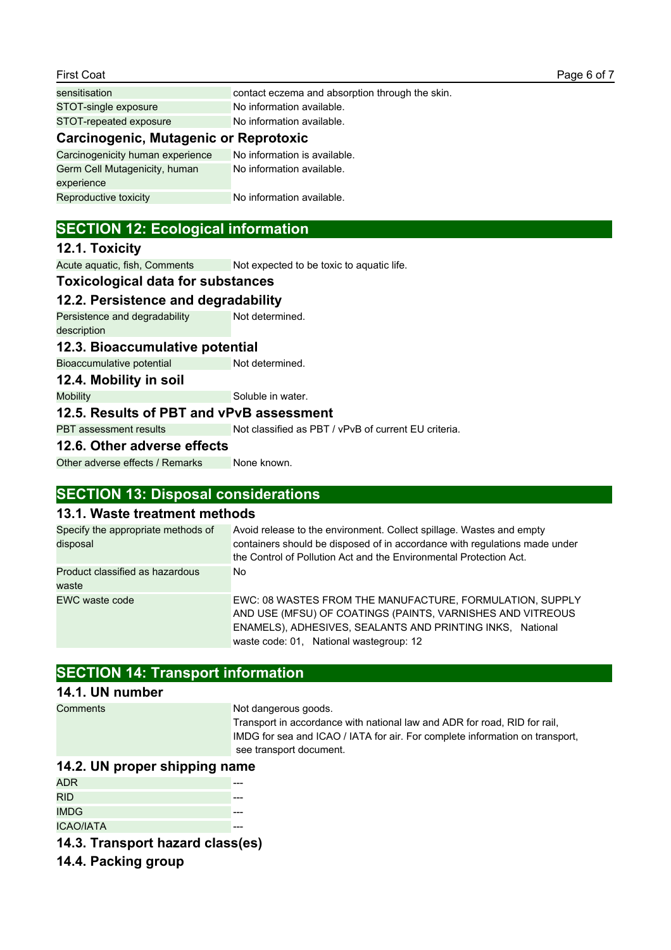| sensitisation                         | contact eczema and absorption through the skin. |  |  |
|---------------------------------------|-------------------------------------------------|--|--|
| STOT-single exposure                  | No information available.                       |  |  |
| STOT-repeated exposure                | No information available.                       |  |  |
| Carcinogenic, Mutagenic or Reprotoxic |                                                 |  |  |

| Carcinogenicity human experience | No information is available. |
|----------------------------------|------------------------------|
| Germ Cell Mutagenicity, human    | No information available.    |
| experience                       |                              |
| Reproductive toxicity            | No information available.    |
|                                  |                              |

## **SECTION 12: Ecological information**

#### **12.1. Toxicity**

Acute aquatic, fish, Comments Not expected to be toxic to aquatic life.

## **Toxicological data for substances**

## **12.2. Persistence and degradability**

Persistence and degradability description Not determined.

#### **12.3. Bioaccumulative potential**

Bioaccumulative potential Not determined.

**12.4. Mobility in soil**

Mobility Mobility Soluble in water.

#### **12.5. Results of PBT and vPvB assessment**

PBT assessment results Not classified as PBT / vPvB of current EU criteria.

#### **12.6. Other adverse effects**

Other adverse effects / Remarks None known.

## **SECTION 13: Disposal considerations**

## **13.1. Waste treatment methods**

| Specify the appropriate methods of<br>disposal | Avoid release to the environment. Collect spillage. Wastes and empty<br>containers should be disposed of in accordance with regulations made under<br>the Control of Pollution Act and the Environmental Protection Act.       |
|------------------------------------------------|--------------------------------------------------------------------------------------------------------------------------------------------------------------------------------------------------------------------------------|
| Product classified as hazardous<br>waste       | No.                                                                                                                                                                                                                            |
| EWC waste code                                 | EWC: 08 WASTES FROM THE MANUFACTURE, FORMULATION, SUPPLY<br>AND USE (MFSU) OF COATINGS (PAINTS, VARNISHES AND VITREOUS<br>ENAMELS), ADHESIVES, SEALANTS AND PRINTING INKS, National<br>waste code: 01, National wastegroup: 12 |

## **SECTION 14: Transport information**

#### **14.1. UN number**

Comments Not dangerous goods.

Transport in accordance with national law and ADR for road, RID for rail, IMDG for sea and ICAO / IATA for air. For complete information on transport, see transport document.

#### **14.2. UN proper shipping name**

| ADR.             |  |
|------------------|--|
| <b>RID</b>       |  |
| <b>IMDG</b>      |  |
| <b>ICAO/IATA</b> |  |

## **14.3. Transport hazard class(es)**

**14.4. Packing group**